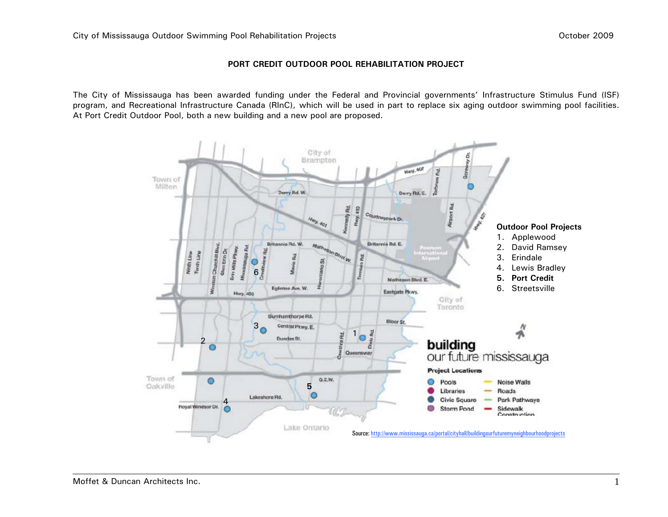## **PORT CREDIT OUTDOOR POOL REHABILITATION PROJECT**

The City of Mississauga has been awarded funding under the Federal and Provincial governments' Infrastructure Stimulus Fund (ISF) program, and Recreational Infrastructure Canada (RInC), which will be used in part to replace six aging outdoor swimming pool facilities. At Port Credit Outdoor Pool, both a new building and a new pool are proposed.

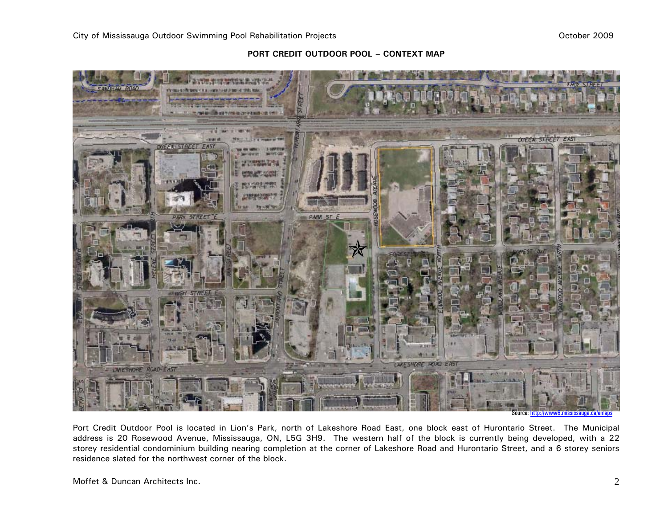

**PORT CREDIT OUTDOOR POOL – CONTEXT MAP** 

Port Credit Outdoor Pool is located in Lion's Park, north of Lakeshore Road East, one block east of Hurontario Street. The Municipal address is 20 Rosewood Avenue, Mississauga, ON, L5G 3H9. The western half of the block is currently being developed, with a 22 storey residential condominium building nearing completion at the corner of Lakeshore Road and Hurontario Street, and a 6 storey seniors residence slated for the northwest corner of the block.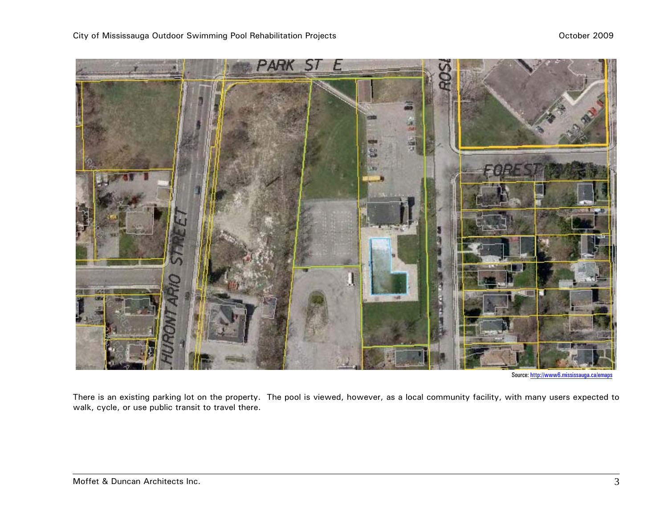

Source: http://www6.mississauga.ca/emaps

There is an existing parking lot on the property. The pool is viewed, however, as a local community facility, with many users expected to walk, cycle, or use public transit to travel there.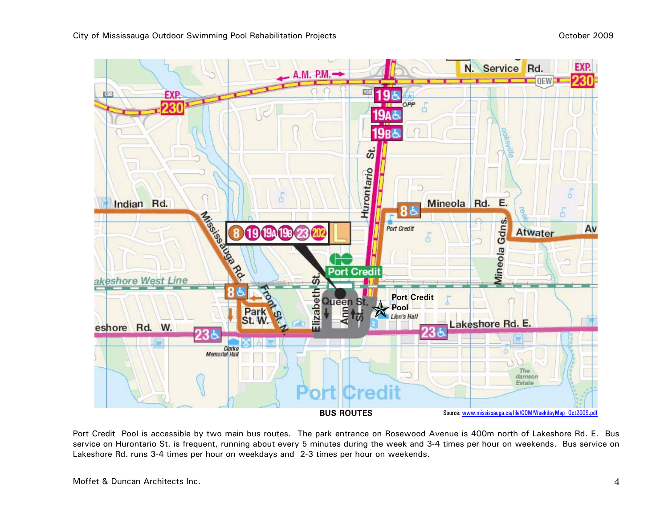

Port Credit Pool is accessible by two main bus routes. The park entrance on Rosewood Avenue is 400m north of Lakeshore Rd. E. Bus service on Hurontario St. is frequent, running about every 5 minutes during the week and 3-4 times per hour on weekends. Bus service on Lakeshore Rd. runs 3-4 times per hour on weekdays and 2-3 times per hour on weekends.